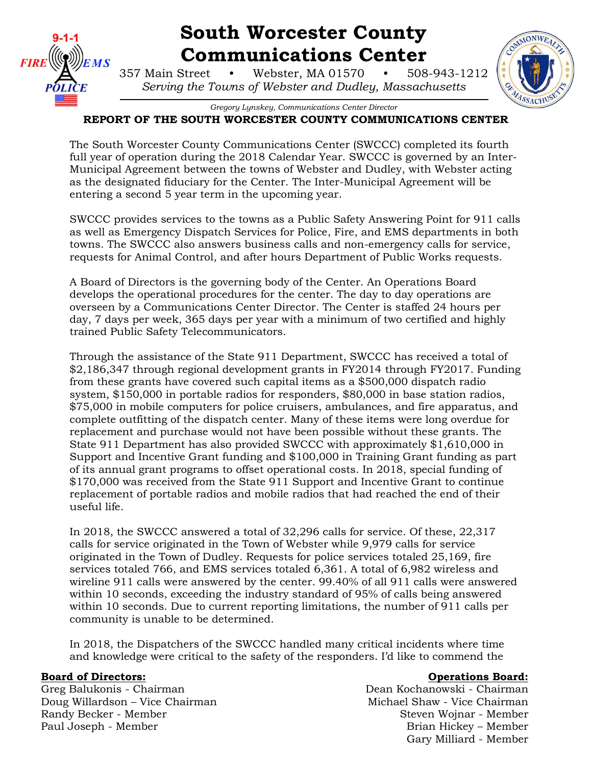

# **South Worcester County Communications Center**

357 Main Street • Webster, MA 01570 • 508-943-1212 *Serving the Towns of Webster and Dudley, Massachusetts*

*Gregory Lynskey, Communications Center Director*

### **REPORT OF THE SOUTH WORCESTER COUNTY COMMUNICATIONS CENTER**

The South Worcester County Communications Center (SWCCC) completed its fourth full year of operation during the 2018 Calendar Year. SWCCC is governed by an Inter-Municipal Agreement between the towns of Webster and Dudley, with Webster acting as the designated fiduciary for the Center. The Inter-Municipal Agreement will be entering a second 5 year term in the upcoming year.

SWCCC provides services to the towns as a Public Safety Answering Point for 911 calls as well as Emergency Dispatch Services for Police, Fire, and EMS departments in both towns. The SWCCC also answers business calls and non-emergency calls for service, requests for Animal Control, and after hours Department of Public Works requests.

A Board of Directors is the governing body of the Center. An Operations Board develops the operational procedures for the center. The day to day operations are overseen by a Communications Center Director. The Center is staffed 24 hours per day, 7 days per week, 365 days per year with a minimum of two certified and highly trained Public Safety Telecommunicators.

Through the assistance of the State 911 Department, SWCCC has received a total of \$2,186,347 through regional development grants in FY2014 through FY2017. Funding from these grants have covered such capital items as a \$500,000 dispatch radio system, \$150,000 in portable radios for responders, \$80,000 in base station radios, \$75,000 in mobile computers for police cruisers, ambulances, and fire apparatus, and complete outfitting of the dispatch center. Many of these items were long overdue for replacement and purchase would not have been possible without these grants. The State 911 Department has also provided SWCCC with approximately \$1,610,000 in Support and Incentive Grant funding and \$100,000 in Training Grant funding as part of its annual grant programs to offset operational costs. In 2018, special funding of \$170,000 was received from the State 911 Support and Incentive Grant to continue replacement of portable radios and mobile radios that had reached the end of their useful life.

In 2018, the SWCCC answered a total of 32,296 calls for service. Of these, 22,317 calls for service originated in the Town of Webster while 9,979 calls for service originated in the Town of Dudley. Requests for police services totaled 25,169, fire services totaled 766, and EMS services totaled 6,361. A total of 6,982 wireless and wireline 911 calls were answered by the center. 99.40% of all 911 calls were answered within 10 seconds, exceeding the industry standard of 95% of calls being answered within 10 seconds. Due to current reporting limitations, the number of 911 calls per community is unable to be determined.

In 2018, the Dispatchers of the SWCCC handled many critical incidents where time and knowledge were critical to the safety of the responders. I'd like to commend the

Doug Willardson – Vice Chairman Michael Shaw - Vice Chairman Randy Becker - Member Steven Wojnar - Member Steven Wojnar - Member Paul Joseph - Member **Brian Hickey – Member** Brian Hickey – Member

#### **Board of Directors: Constanting Board: Operations Board: Operations Board: Operations Board: Operations Board: Operations Board: Operations** Board:

Greg Balukonis - Chairman Dean Kochanowski - Chairman Gary Milliard - Member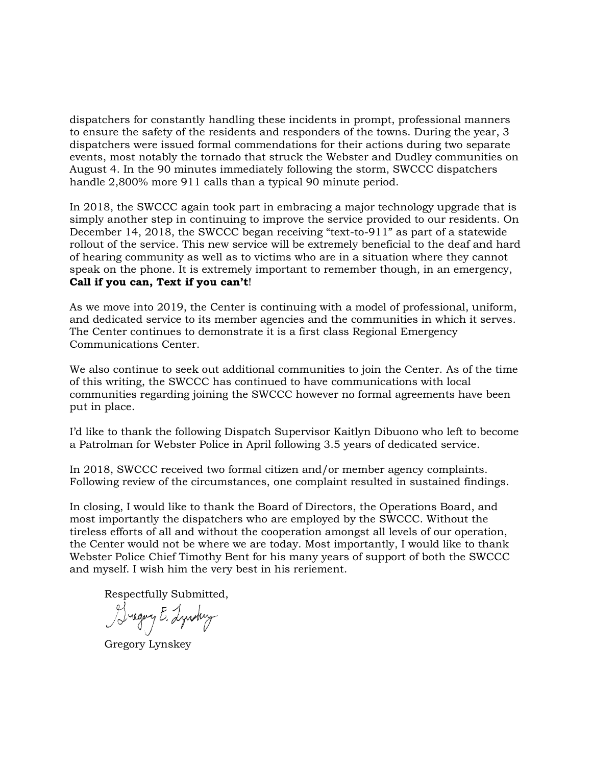dispatchers for constantly handling these incidents in prompt, professional manners to ensure the safety of the residents and responders of the towns. During the year, 3 dispatchers were issued formal commendations for their actions during two separate events, most notably the tornado that struck the Webster and Dudley communities on August 4. In the 90 minutes immediately following the storm, SWCCC dispatchers handle 2,800% more 911 calls than a typical 90 minute period.

In 2018, the SWCCC again took part in embracing a major technology upgrade that is simply another step in continuing to improve the service provided to our residents. On December 14, 2018, the SWCCC began receiving "text-to-911" as part of a statewide rollout of the service. This new service will be extremely beneficial to the deaf and hard of hearing community as well as to victims who are in a situation where they cannot speak on the phone. It is extremely important to remember though, in an emergency, **Call if you can, Text if you can't**!

As we move into 2019, the Center is continuing with a model of professional, uniform, and dedicated service to its member agencies and the communities in which it serves. The Center continues to demonstrate it is a first class Regional Emergency Communications Center.

We also continue to seek out additional communities to join the Center. As of the time of this writing, the SWCCC has continued to have communications with local communities regarding joining the SWCCC however no formal agreements have been put in place.

I'd like to thank the following Dispatch Supervisor Kaitlyn Dibuono who left to become a Patrolman for Webster Police in April following 3.5 years of dedicated service.

In 2018, SWCCC received two formal citizen and/or member agency complaints. Following review of the circumstances, one complaint resulted in sustained findings.

In closing, I would like to thank the Board of Directors, the Operations Board, and most importantly the dispatchers who are employed by the SWCCC. Without the tireless efforts of all and without the cooperation amongst all levels of our operation, the Center would not be where we are today. Most importantly, I would like to thank Webster Police Chief Timothy Bent for his many years of support of both the SWCCC and myself. I wish him the very best in his reriement.

Respectfully Submitted,<br>Sugary E. Lyndwy

Gregory Lynskey